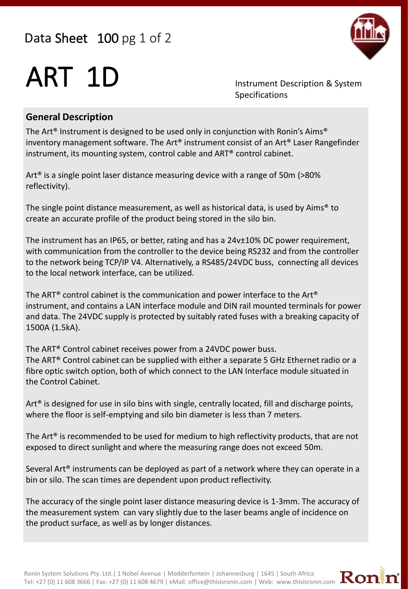## Data Sheet 100 pg 1 of 2



## ART 1D Instrument Description & System

Specifications

#### **General Description**

The Art® Instrument is designed to be used only in conjunction with Ronin's Aims® inventory management software. The Art® instrument consist of an Art® Laser Rangefinder instrument, its mounting system, control cable and ART® control cabinet.

Art® is a single point laser distance measuring device with a range of 50m (>80% reflectivity).

The single point distance measurement, as well as historical data, is used by Aims<sup>®</sup> to create an accurate profile of the product being stored in the silo bin.

The instrument has an IP65, or better, rating and has a 24v±10% DC power requirement, with communication from the controller to the device being RS232 and from the controller to the network being TCP/IP V4. Alternatively, a RS485/24VDC buss, connecting all devices to the local network interface, can be utilized.

The ART® control cabinet is the communication and power interface to the Art® instrument, and contains a LAN interface module and DIN rail mounted terminals for power and data. The 24VDC supply is protected by suitably rated fuses with a breaking capacity of 1500A (1.5kA).

The ART® Control cabinet receives power from a 24VDC power buss. The ART® Control cabinet can be supplied with either a separate 5 GHz Ethernet radio or a fibre optic switch option, both of which connect to the LAN Interface module situated in the Control Cabinet.

Art<sup>®</sup> is designed for use in silo bins with single, centrally located, fill and discharge points, where the floor is self-emptying and silo bin diameter is less than 7 meters.

The Art<sup>®</sup> is recommended to be used for medium to high reflectivity products, that are not exposed to direct sunlight and where the measuring range does not exceed 50m.

Several Art® instruments can be deployed as part of a network where they can operate in a bin or silo. The scan times are dependent upon product reflectivity.

The accuracy of the single point laser distance measuring device is 1-3mm. The accuracy of the measurement system can vary slightly due to the laser beams angle of incidence on the product surface, as well as by longer distances.